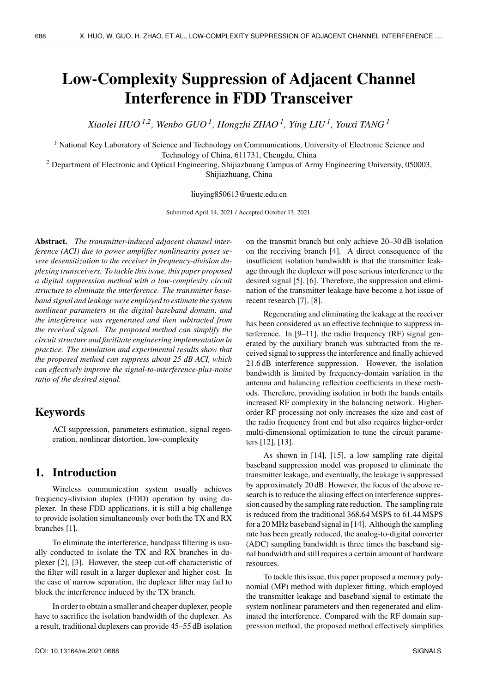# **Low-Complexity Suppression of Adjacent Channel Interference in FDD Transceiver**

*Xiaolei HUO <sup>1</sup>*,*<sup>2</sup> , Wenbo GUO <sup>1</sup> , Hongzhi ZHAO <sup>1</sup> , Ying LIU <sup>1</sup> , Youxi TANG <sup>1</sup>*

<sup>1</sup> National Key Laboratory of Science and Technology on Communications, University of Electronic Science and Technology of China, 611731, Chengdu, China

<sup>2</sup> Department of Electronic and Optical Engineering, Shijiazhuang Campus of Army Engineering University, 050003, Shijiazhuang, China

liuying850613@uestc.edu.cn

Submitted April 14, 2021 / Accepted October 13, 2021

**Abstract.** *The transmitter-induced adjacent channel interference (ACI) due to power amplifier nonlinearity poses severe desensitization to the receiver in frequency-division duplexing transceivers. To tackle this issue, this paper proposed a digital suppression method with a low-complexity circuit structure to eliminate the interference. The transmitter baseband signal and leakage were employed to estimate the system nonlinear parameters in the digital baseband domain, and the interference was regenerated and then subtracted from the received signal. The proposed method can simplify the circuit structure and facilitate engineering implementation in practice. The simulation and experimental results show that the proposed method can suppress about 25 dB ACI, which can effectively improve the signal-to-interference-plus-noise ratio of the desired signal.*

## **Keywords**

ACI suppression, parameters estimation, signal regeneration, nonlinear distortion, low-complexity

## **1. Introduction**

Wireless communication system usually achieves frequency-division duplex (FDD) operation by using duplexer. In these FDD applications, it is still a big challenge to provide isolation simultaneously over both the TX and RX branches [1].

To eliminate the interference, bandpass filtering is usually conducted to isolate the TX and RX branches in duplexer [2], [3]. However, the steep cut-off characteristic of the filter will result in a larger duplexer and higher cost. In the case of narrow separation, the duplexer filter may fail to block the interference induced by the TX branch.

In order to obtain a smaller and cheaper duplexer, people have to sacrifice the isolation bandwidth of the duplexer. As a result, traditional duplexers can provide 45–55 dB isolation on the transmit branch but only achieve 20–30 dB isolation on the receiving branch [4]. A direct consequence of the insufficient isolation bandwidth is that the transmitter leakage through the duplexer will pose serious interference to the desired signal [5], [6]. Therefore, the suppression and elimination of the transmitter leakage have become a hot issue of recent research [7], [8].

Regenerating and eliminating the leakage at the receiver has been considered as an effective technique to suppress interference. In [9–11], the radio frequency (RF) signal generated by the auxiliary branch was subtracted from the received signal to suppress the interference and finally achieved 21.6 dB interference suppression. However, the isolation bandwidth is limited by frequency-domain variation in the antenna and balancing reflection coefficients in these methods. Therefore, providing isolation in both the bands entails increased RF complexity in the balancing network. Higherorder RF processing not only increases the size and cost of the radio frequency front end but also requires higher-order multi-dimensional optimization to tune the circuit parameters [12], [13].

As shown in [14], [15], a low sampling rate digital baseband suppression model was proposed to eliminate the transmitter leakage, and eventually, the leakage is suppressed by approximately 20 dB. However, the focus of the above research is to reduce the aliasing effect on interference suppression caused by the sampling rate reduction. The sampling rate is reduced from the traditional 368.64 MSPS to 61.44 MSPS for a 20 MHz baseband signal in [14]. Although the sampling rate has been greatly reduced, the analog-to-digital converter (ADC) sampling bandwidth is three times the baseband signal bandwidth and still requires a certain amount of hardware resources.

To tackle this issue, this paper proposed a memory polynomial (MP) method with duplexer fitting, which employed the transmitter leakage and baseband signal to estimate the system nonlinear parameters and then regenerated and eliminated the interference. Compared with the RF domain suppression method, the proposed method effectively simplifies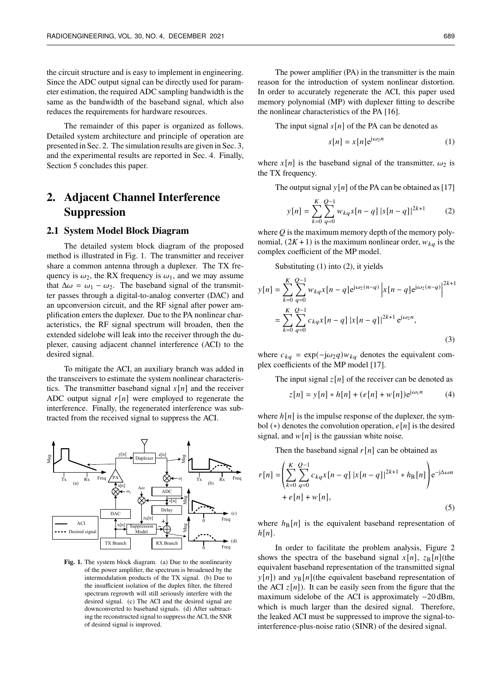the circuit structure and is easy to implement in engineering. Since the ADC output signal can be directly used for parameter estimation, the required ADC sampling bandwidth is the same as the bandwidth of the baseband signal, which also reduces the requirements for hardware resources.

The remainder of this paper is organized as follows. Detailed system architecture and principle of operation are presented in Sec. 2. The simulation results are given in Sec. 3, and the experimental results are reported in Sec. 4. Finally, Section 5 concludes this paper.

## **2. Adjacent Channel Interference Suppression**

#### **2.1 System Model Block Diagram**

The detailed system block diagram of the proposed method is illustrated in Fig. 1. The transmitter and receiver share a common antenna through a duplexer. The TX frequency is  $\omega_2$ , the RX frequency is  $\omega_1$ , and we may assume that  $\Delta \omega = \omega_1 - \omega_2$ . The baseband signal of the transmitter passes through a digital-to-analog converter (DAC) and an upconversion circuit, and the RF signal after power amplification enters the duplexer. Due to the PA nonlinear characteristics, the RF signal spectrum will broaden, then the extended sidelobe will leak into the receiver through the duplexer, causing adjacent channel interference (ACI) to the desired signal.

To mitigate the ACI, an auxiliary branch was added in the transceivers to estimate the system nonlinear characteristics. The transmitter baseband signal  $x[n]$  and the receiver ADC output signal  $r[n]$  were employed to regenerate the interference. Finally, the regenerated interference was subtracted from the received signal to suppress the ACI.



**Fig. 1.** The system block diagram. (a) Due to the nonlinearity of the power amplifier, the spectrum is broadened by the intermodulation products of the TX signal. (b) Due to the insufficient isolation of the duplex filter, the filtered spectrum regrowth will still seriously interfere with the desired signal. (c) The ACI and the desired signal are downconverted to baseband signals. (d) After subtracting the reconstructed signal to suppress the ACI, the SNR of desired signal is improved.

The power amplifier (PA) in the transmitter is the main reason for the introduction of system nonlinear distortion. In order to accurately regenerate the ACI, this paper used memory polynomial (MP) with duplexer fitting to describe the nonlinear characteristics of the PA [16].

The input signal  $s[n]$  of the PA can be denoted as

$$
s[n] = x[n]e^{j\omega_2 n} \tag{1}
$$

where  $x[n]$  is the baseband signal of the transmitter,  $\omega_2$  is the TX frequency.

The output signal  $y[n]$  of the PA can be obtained as [17]

$$
y[n] = \sum_{k=0}^{K} \sum_{q=0}^{Q-1} w_{kq} s[n-q] |s[n-q]|^{2k+1}
$$
 (2)

where  $Q$  is the maximum memory depth of the memory polynomial,  $(2K + 1)$  is the maximum nonlinear order,  $w_{kq}$  is the complex coefficient of the MP model.

Substituting (1) into (2), it yields

$$
y[n] = \sum_{k=0}^{K} \sum_{q=0}^{Q-1} w_{kq} x[n-q] e^{j\omega_2(n-q)} |x[n-q] e^{j\omega_2(n-q)}|^{2k+1}
$$
  
= 
$$
\sum_{k=0}^{K} \sum_{q=0}^{Q-1} c_{kq} x[n-q] |x[n-q]|^{2k+1} e^{j\omega_2 n},
$$
 (3)

where  $c_{kq} = \exp(-j\omega_2 q) w_{kq}$  denotes the equivalent complex coefficients of the MP model [17].

The input signal  $z[n]$  of the receiver can be denoted as

$$
z[n] = y[n] * h[n] + (e[n] + w[n])e^{j\omega_1 n}
$$
 (4)

where  $h[n]$  is the impulse response of the duplexer, the symbol (\*) denotes the convolution operation,  $e[n]$  is the desired signal, and  $w[n]$  is the gaussian white noise.

Then the baseband signal  $r[n]$  can be obtained as

$$
r[n] = \left(\sum_{k=0}^{K} \sum_{q=0}^{Q-1} c_{kq} x[n-q] |x[n-q]|^{2k+1} * h_{\text{B}}[n]\right) e^{-j\Delta \omega n} + e[n] + w[n],
$$
\n(5)

where  $h_\text{B}[n]$  is the equivalent baseband representation of  $h[n]$ .

In order to facilitate the problem analysis, Figure 2 shows the spectra of the baseband signal  $x[n]$ ,  $z_B[n]$ (the equivalent baseband representation of the transmitted signal  $y[n]$ ) and  $y_B[n]$ (the equivalent baseband representation of the ACI  $z[n]$ ). It can be easily seen from the figure that the maximum sidelobe of the ACI is approximately −20 dBm, which is much larger than the desired signal. Therefore, the leaked ACI must be suppressed to improve the signal-tointerference-plus-noise ratio (SINR) of the desired signal.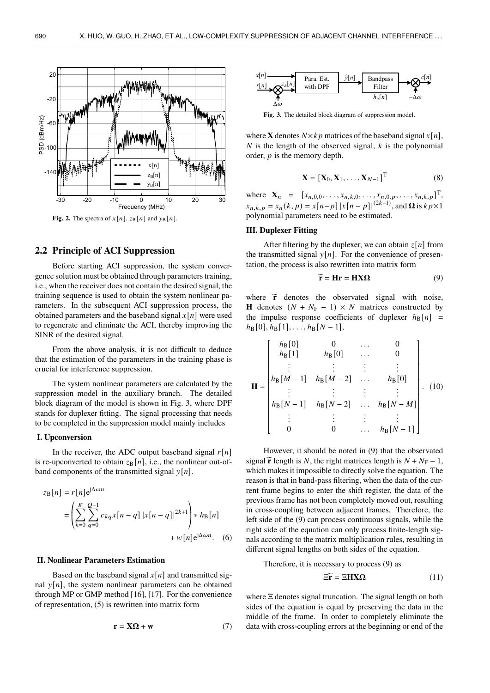

### **2.2 Principle of ACI Suppression**

Before starting ACI suppression, the system convergence solution must be obtained through parameters training, i.e., when the receiver does not contain the desired signal, the training sequence is used to obtain the system nonlinear parameters. In the subsequent ACI suppression process, the obtained parameters and the baseband signal  $x[n]$  were used to regenerate and eliminate the ACI, thereby improving the SINR of the desired signal.

From the above analysis, it is not difficult to deduce that the estimation of the parameters in the training phase is crucial for interference suppression.

The system nonlinear parameters are calculated by the suppression model in the auxiliary branch. The detailed block diagram of the model is shown in Fig. 3, where DPF stands for duplexer fitting. The signal processing that needs to be completed in the suppression model mainly includes

#### **I. Upconversion**

In the receiver, the ADC output baseband signal  $r[n]$ is re-upconverted to obtain  $z_B[n]$ , i.e., the nonlinear out-ofband components of the transmitted signal  $y[n]$ .

$$
z_{\rm B}[n] = r[n]e^{j\Delta\omega n}
$$
  
=  $\left(\sum_{k=0}^{K} \sum_{q=0}^{Q-1} c_{kq}x[n-q] |x[n-q]|^{2k+1}\right) * h_{\rm B}[n]$   
+  $w[n]e^{j\Delta\omega n}$ . (6)

#### **II. Nonlinear Parameters Estimation**

Based on the baseband signal  $x[n]$  and transmitted signal  $y[n]$ , the system nonlinear parameters can be obtained through MP or GMP method [16], [17]. For the convenience of representation, (5) is rewritten into matrix form

$$
\mathbf{r} = \mathbf{X}\Omega + \mathbf{w} \tag{7}
$$



**Fig. 3.** The detailed block diagram of suppression model.

where **X** denotes  $N \times k p$  matrices of the baseband signal  $x[n]$ , N is the length of the observed signal,  $k$  is the polynomial order,  $p$  is the memory depth.

$$
\mathbf{X} = [\mathbf{X}_0, \mathbf{X}_1, \dots, \mathbf{X}_{N-1}]^\mathrm{T} \tag{8}
$$

where  $\mathbf{X}_n = [x_{n,0,0}, \dots, x_{n,k,0}, \dots, x_{n,0,p}, \dots, x_{n,k,p}]^{\mathrm{T}},$  $x_{n,k,p} = x_n(k, p) = x[n-p] |x[n-p]|^{(2k+1)}$ , and  $\Omega$  is  $k p \times 1$ polynomial parameters need to be estimated.

#### **III. Duplexer Fitting**

Ī

After filtering by the duplexer, we can obtain  $z[n]$  from the transmitted signal  $y[n]$ . For the convenience of presentation, the process is also rewritten into matrix form

$$
\widetilde{\mathbf{r}} = \mathbf{H}\mathbf{r} = \mathbf{H}\mathbf{X}\mathbf{\Omega} \tag{9}
$$

where  $\tilde{r}$  denotes the observated signal with noise, **H** denotes  $(N + N_F - 1) \times N$  matrices constructed by the impulse response coefficients of duplexer  $h_\text{B}[n]$  =  $h_{\text{B}}[0], h_{\text{B}}[1], \ldots, h_{\text{B}}[N-1],$ 

$$
\mathbf{H} = \begin{bmatrix} h_{\text{B}}[0] & 0 & \cdots & 0 \\ h_{\text{B}}[1] & h_{\text{B}}[0] & \cdots & 0 \\ \vdots & \vdots & \vdots & \vdots \\ h_{\text{B}}[M-1] & h_{\text{B}}[M-2] & \cdots & h_{\text{B}}[0] \\ \vdots & \vdots & \vdots & \vdots \\ h_{\text{B}}[N-1] & h_{\text{B}}[N-2] & \cdots & h_{\text{B}}[N-M] \\ \vdots & \vdots & \vdots & \vdots & \vdots \\ 0 & 0 & \cdots & h_{\text{B}}[N-1] \end{bmatrix} . (10)
$$

However, it should be noted in (9) that the observated signal  $\tilde{\mathbf{r}}$  length is N, the right matrices length is  $N + N_{\rm F} - 1$ , which makes it impossible to directly solve the equation. The reason is that in band-pass filtering, when the data of the current frame begins to enter the shift register, the data of the previous frame has not been completely moved out, resulting in cross-coupling between adjacent frames. Therefore, the left side of the (9) can process continuous signals, while the right side of the equation can only process finite-length signals according to the matrix multiplication rules, resulting in different signal lengths on both sides of the equation.

Therefore, it is necessary to process (9) as

$$
\Xi \widetilde{\mathbf{r}} = \Xi \mathbf{H} \mathbf{X} \Omega \tag{11}
$$

Ī

where Ξ denotes signal truncation. The signal length on both sides of the equation is equal by preserving the data in the middle of the frame. In order to completely eliminate the data with cross-coupling errors at the beginning or end of the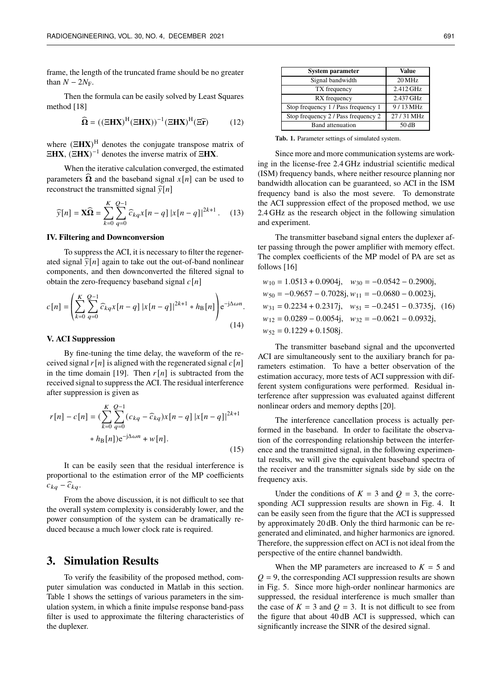frame, the length of the truncated frame should be no greater than  $N - 2N_F$ .

Then the formula can be easily solved by Least Squares method [18]

$$
\widehat{\mathbf{\Omega}} = ((\mathbf{\Xi}\mathbf{H}\mathbf{X})^{\mathrm{H}}(\mathbf{\Xi}\mathbf{H}\mathbf{X}))^{-1}(\mathbf{\Xi}\mathbf{H}\mathbf{X})^{\mathrm{H}}(\mathbf{\Xi}\widetilde{\mathbf{r}})
$$
(12)

where (Ξ**HX**) <sup>H</sup> denotes the conjugate transpose matrix of Ξ**HX**, (Ξ**HX**) <sup>−</sup><sup>1</sup> denotes the inverse matrix of Ξ**HX**.

When the iterative calculation converged, the estimated parameters  $\Omega$  and the baseband signal  $x[n]$  can be used to reconstruct the transmitted signal  $\widehat{v}[n]$ 

$$
\widehat{y}[n] = \mathbf{X}\widehat{\mathbf{\Omega}} = \sum_{k=0}^{K} \sum_{q=0}^{Q-1} \widehat{c}_{kq} x[n-q] |x[n-q]|^{2k+1}.
$$
 (13)

#### **IV. Filtering and Downconversion**

To suppress the ACI, it is necessary to filter the regenerated signal  $\widehat{y}[n]$  again to take out the out-of-band nonlinear components, and then downconverted the filtered signal to obtain the zero-frequency baseband signal  $c[n]$ 

$$
c[n] = \left(\sum_{k=0}^{K} \sum_{q=0}^{Q-1} \widehat{c}_{kq} x[n-q] |x[n-q]|^{2k+1} * h_{\text{B}}[n]\right) e^{-j\Delta \omega n}.
$$
\n(14)

#### **V. ACI Suppression**

By fine-tuning the time delay, the waveform of the received signal  $r[n]$  is aligned with the regenerated signal  $c[n]$ in the time domain [19]. Then  $r[n]$  is subtracted from the received signal to suppress the ACI. The residual interference after suppression is given as

$$
r[n] - c[n] = \left(\sum_{k=0}^{K} \sum_{q=0}^{Q-1} (c_{kq} - \widehat{c}_{kq}) x[n-q] |x[n-q]|^{2k+1}
$$
  
 
$$
* h_{\text{B}}[n]) e^{-j\Delta\omega n} + w[n].
$$
 (15)

It can be easily seen that the residual interference is proportional to the estimation error of the MP coefficients  $c_{kq} - \widehat{c}_{kq}$ .

From the above discussion, it is not difficult to see that the overall system complexity is considerably lower, and the power consumption of the system can be dramatically reduced because a much lower clock rate is required.

## **3. Simulation Results**

To verify the feasibility of the proposed method, computer simulation was conducted in Matlab in this section. Table 1 shows the settings of various parameters in the simulation system, in which a finite impulse response band-pass filter is used to approximate the filtering characteristics of the duplexer.

| <b>System parameter</b>             | Value     |  |
|-------------------------------------|-----------|--|
| Signal bandwidth                    | 20 MHz    |  |
| TX frequency                        | 2.412 GHz |  |
| RX frequency                        | 2.437 GHz |  |
| Stop frequency 1 / Pass frequency 1 | 9/13 MHz  |  |
| Stop frequency 2 / Pass frequency 2 | 27/31 MHz |  |
| Band attenuation                    | 50 dB     |  |

**Tab. 1.** Parameter settings of simulated system.

Since more and more communication systems are working in the license-free 2.4 GHz industrial scientific medical (ISM) frequency bands, where neither resource planning nor bandwidth allocation can be guaranteed, so ACI in the ISM frequency band is also the most severe. To demonstrate the ACI suppression effect of the proposed method, we use 2.4 GHz as the research object in the following simulation and experiment.

The transmitter baseband signal enters the duplexer after passing through the power amplifier with memory effect. The complex coefficients of the MP model of PA are set as follows [16]

$$
w_{10} = 1.0513 + 0.0904j, \quad w_{30} = -0.0542 - 0.2900j,
$$
  
\n
$$
w_{50} = -0.9657 - 0.7028j, w_{11} = -0.0680 - 0.0023j,
$$
  
\n
$$
w_{31} = 0.2234 + 0.2317j, \quad w_{51} = -0.2451 - 0.3735j, \quad (16)
$$
  
\n
$$
w_{12} = 0.0289 - 0.0054j, \quad w_{32} = -0.0621 - 0.0932j,
$$
  
\n
$$
w_{52} = 0.1229 + 0.1508j.
$$

The transmitter baseband signal and the upconverted ACI are simultaneously sent to the auxiliary branch for parameters estimation. To have a better observation of the estimation accuracy, more tests of ACI suppression with different system configurations were performed. Residual interference after suppression was evaluated against different nonlinear orders and memory depths [20].

The interference cancellation process is actually performed in the baseband. In order to facilitate the observation of the corresponding relationship between the interference and the transmitted signal, in the following experimental results, we will give the equivalent baseband spectra of the receiver and the transmitter signals side by side on the frequency axis.

Under the conditions of  $K = 3$  and  $Q = 3$ , the corresponding ACI suppression results are shown in Fig. 4. It can be easily seen from the figure that the ACI is suppressed by approximately 20 dB. Only the third harmonic can be regenerated and eliminated, and higher harmonics are ignored. Therefore, the suppression effect on ACI is not ideal from the perspective of the entire channel bandwidth.

When the MP parameters are increased to  $K = 5$  and  $Q = 9$ , the corresponding ACI suppression results are shown in Fig. 5. Since more high-order nonlinear harmonics are suppressed, the residual interference is much smaller than the case of  $K = 3$  and  $Q = 3$ . It is not difficult to see from the figure that about 40 dB ACI is suppressed, which can significantly increase the SINR of the desired signal.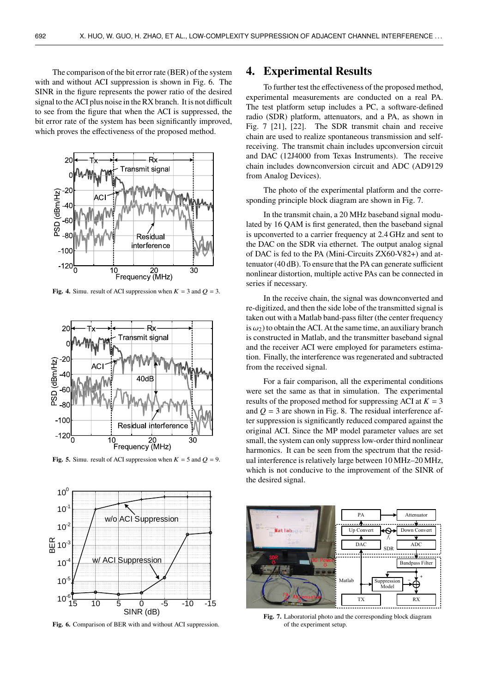The comparison of the bit error rate (BER) of the system with and without ACI suppression is shown in Fig. 6. The SINR in the figure represents the power ratio of the desired signal to the ACI plus noise in the RX branch. It is not difficult to see from the figure that when the ACI is suppressed, the bit error rate of the system has been significantly improved, which proves the effectiveness of the proposed method.



Fig. 4. Simu. result of ACI suppression when  $K = 3$  and  $Q = 3$ .



**Fig. 5.** Simu. result of ACI suppression when  $K = 5$  and  $Q = 9$ .



**Fig. 6.** Comparison of BER with and without ACI suppression.

## **4. Experimental Results**

To further test the effectiveness of the proposed method, experimental measurements are conducted on a real PA. The test platform setup includes a PC, a software-defined radio (SDR) platform, attenuators, and a PA, as shown in Fig. 7 [21], [22]. The SDR transmit chain and receive chain are used to realize spontaneous transmission and selfreceiving. The transmit chain includes upconversion circuit and DAC (12J4000 from Texas Instruments). The receive chain includes downconversion circuit and ADC (AD9129 from Analog Devices).

The photo of the experimental platform and the corresponding principle block diagram are shown in Fig. 7.

In the transmit chain, a 20 MHz baseband signal modulated by 16 QAM is first generated, then the baseband signal is upconverted to a carrier frequency at 2.4 GHz and sent to the DAC on the SDR via ethernet. The output analog signal of DAC is fed to the PA (Mini-Circuits ZX60-V82+) and attenuator (40 dB). To ensure that the PA can generate sufficient nonlinear distortion, multiple active PAs can be connected in series if necessary.

In the receive chain, the signal was downconverted and re-digitized, and then the side lobe of the transmitted signal is taken out with a Matlab band-pass filter (the center frequency is  $\omega_2$ ) to obtain the ACI. At the same time, an auxiliary branch is constructed in Matlab, and the transmitter baseband signal and the receiver ACI were employed for parameters estimation. Finally, the interference was regenerated and subtracted from the received signal.

For a fair comparison, all the experimental conditions were set the same as that in simulation. The experimental results of the proposed method for suppressing ACI at  $K = 3$ and  $Q = 3$  are shown in Fig. 8. The residual interference after suppression is significantly reduced compared against the original ACI. Since the MP model parameter values are set small, the system can only suppress low-order third nonlinear harmonics. It can be seen from the spectrum that the residual interference is relatively large between 10 MHz–20 MHz, which is not conducive to the improvement of the SINR of the desired signal.



**Fig. 7.** Laboratorial photo and the corresponding block diagram of the experiment setup.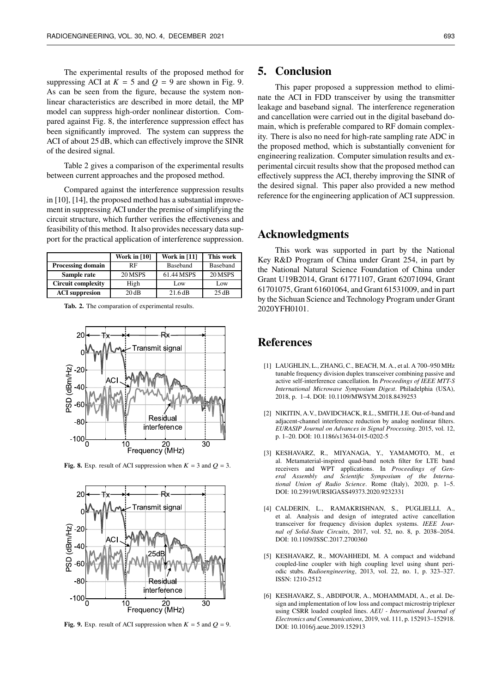The experimental results of the proposed method for suppressing ACI at  $K = 5$  and  $Q = 9$  are shown in Fig. 9. As can be seen from the figure, because the system nonlinear characteristics are described in more detail, the MP model can suppress high-order nonlinear distortion. Compared against Fig. 8, the interference suppression effect has been significantly improved. The system can suppress the ACI of about 25 dB, which can effectively improve the SINR of the desired signal.

Table 2 gives a comparison of the experimental results between current approaches and the proposed method.

Compared against the interference suppression results in [10], [14], the proposed method has a substantial improvement in suppressing ACI under the premise of simplifying the circuit structure, which further verifies the effectiveness and feasibility of this method. It also provides necessary data support for the practical application of interference suppression.

|                           | <b>Work in [10]</b> | Work in $[11]$  | This work       |
|---------------------------|---------------------|-----------------|-----------------|
| <b>Processing domain</b>  | RF                  | <b>Baseband</b> | <b>Baseband</b> |
| Sample rate               | 20 MSPS             | 61.44 MSPS      | 20 MSPS         |
| <b>Circuit complexity</b> | High                | Low             | Low             |
| <b>ACI</b> suppresion     | 20dB                | 21.6 dB         | 25dB            |

**Tab. 2.** The comparation of experimental results.



**Fig. 8.** Exp. result of ACI suppression when  $K = 3$  and  $Q = 3$ .



**Fig. 9.** Exp. result of ACI suppression when  $K = 5$  and  $Q = 9$ .

## **5. Conclusion**

This paper proposed a suppression method to eliminate the ACI in FDD transceiver by using the transmitter leakage and baseband signal. The interference regeneration and cancellation were carried out in the digital baseband domain, which is preferable compared to RF domain complexity. There is also no need for high-rate sampling rate ADC in the proposed method, which is substantially convenient for engineering realization. Computer simulation results and experimental circuit results show that the proposed method can effectively suppress the ACI, thereby improving the SINR of the desired signal. This paper also provided a new method reference for the engineering application of ACI suppression.

## **Acknowledgments**

This work was supported in part by the National Key R&D Program of China under Grant 254, in part by the National Natural Science Foundation of China under Grant U19B2014, Grant 61771107, Grant 62071094, Grant 61701075, Grant 61601064, and Grant 61531009, and in part by the Sichuan Science and Technology Program under Grant 2020YFH0101.

## **References**

- [1] LAUGHLIN, L., ZHANG, C., BEACH, M. A., et al. A 700–950 MHz tunable frequency division duplex transceiver combining passive and active self-interference cancellation. In *Proceedings of IEEE MTT-S International Microwave Symposium Digest*. Philadelphia (USA), 2018, p. 1–4. DOI: 10.1109/MWSYM.2018.8439253
- [2] NIKITIN, A.V., DAVIDCHACK, R.L., SMITH, J.E. Out-of-band and adjacent-channel interference reduction by analog nonlinear filters. *EURASIP Journal on Advances in Signal Processing*. 2015, vol. 12, p. 1–20. DOI: 10.1186/s13634-015-0202-5
- [3] KESHAVARZ, R., MIYANAGA, Y., YAMAMOTO, M., et al. Metamaterial-inspired quad-band notch filter for LTE band receivers and WPT applications. In *Proceedings of General Assembly and Scientific Symposium of the International Union of Radio Science*. Rome (Italy), 2020, p. 1–5. DOI: 10.23919/URSIGASS49373.2020.9232331
- [4] CALDERIN, L., RAMAKRISHNAN, S., PUGLIELLI, A., et al. Analysis and design of integrated active cancellation transceiver for frequency division duplex systems. *IEEE Journal of Solid-State Circuits*, 2017, vol. 52, no. 8, p. 2038–2054. DOI: 10.1109/JSSC.2017.2700360
- [5] KESHAVARZ, R., MOVAHHEDI, M. A compact and wideband coupled-line coupler with high coupling level using shunt periodic stubs. *Radioengineering*, 2013, vol. 22, no. 1, p. 323–327. ISSN: 1210-2512
- [6] KESHAVARZ, S., ABDIPOUR, A., MOHAMMADI, A., et al. Design and implementation of low loss and compact microstrip triplexer using CSRR loaded coupled lines. *AEU - International Journal of Electronics and Communications*, 2019, vol. 111, p. 152913–152918. DOI: 10.1016/j.aeue.2019.152913